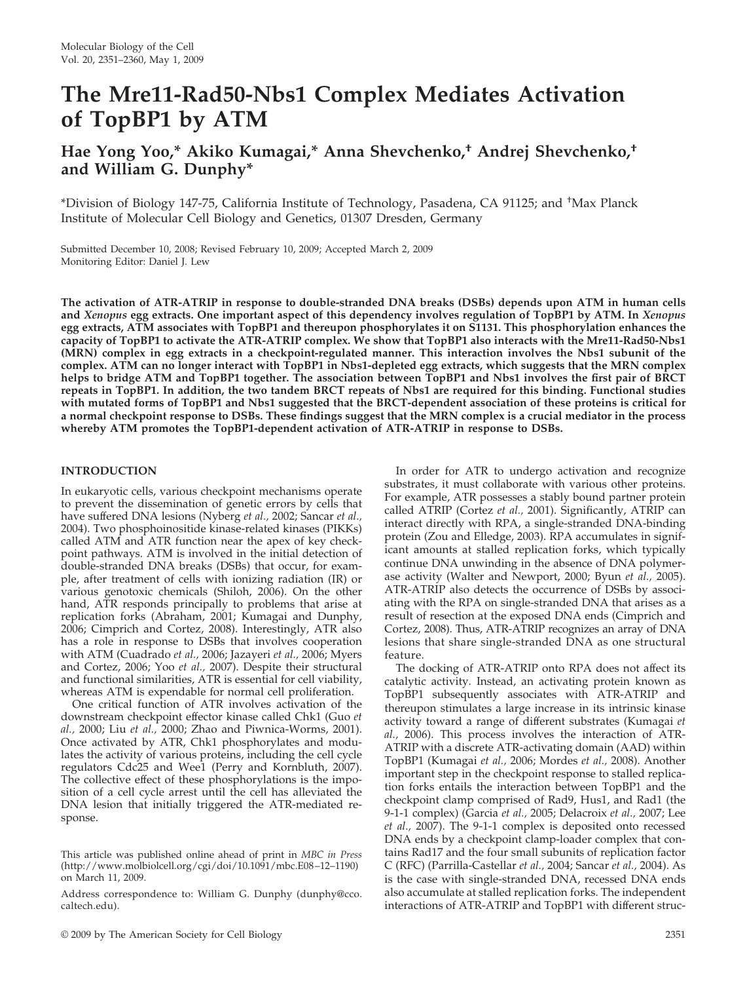# **The Mre11-Rad50-Nbs1 Complex Mediates Activation of TopBP1 by ATM**

# **Hae Yong Yoo,\* Akiko Kumagai,\* Anna Shevchenko,† Andrej Shevchenko,† and William G. Dunphy\***

\*Division of Biology 147-75, California Institute of Technology, Pasadena, CA 91125; and † Max Planck Institute of Molecular Cell Biology and Genetics, 01307 Dresden, Germany

Submitted December 10, 2008; Revised February 10, 2009; Accepted March 2, 2009 Monitoring Editor: Daniel J. Lew

**The activation of ATR-ATRIP in response to double-stranded DNA breaks (DSBs) depends upon ATM in human cells and** *Xenopus* **egg extracts. One important aspect of this dependency involves regulation of TopBP1 by ATM. In** *Xenopus* **egg extracts, ATM associates with TopBP1 and thereupon phosphorylates it on S1131. This phosphorylation enhances the capacity of TopBP1 to activate the ATR-ATRIP complex. We show that TopBP1 also interacts with the Mre11-Rad50-Nbs1 (MRN) complex in egg extracts in a checkpoint-regulated manner. This interaction involves the Nbs1 subunit of the complex. ATM can no longer interact with TopBP1 in Nbs1-depleted egg extracts, which suggests that the MRN complex helps to bridge ATM and TopBP1 together. The association between TopBP1 and Nbs1 involves the first pair of BRCT repeats in TopBP1. In addition, the two tandem BRCT repeats of Nbs1 are required for this binding. Functional studies with mutated forms of TopBP1 and Nbs1 suggested that the BRCT-dependent association of these proteins is critical for a normal checkpoint response to DSBs. These findings suggest that the MRN complex is a crucial mediator in the process whereby ATM promotes the TopBP1-dependent activation of ATR-ATRIP in response to DSBs.**

# **INTRODUCTION**

In eukaryotic cells, various checkpoint mechanisms operate to prevent the dissemination of genetic errors by cells that have suffered DNA lesions (Nyberg *et al.,* 2002; Sancar *et al.,* 2004). Two phosphoinositide kinase-related kinases (PIKKs) called ATM and ATR function near the apex of key checkpoint pathways. ATM is involved in the initial detection of double-stranded DNA breaks (DSBs) that occur, for example, after treatment of cells with ionizing radiation (IR) or various genotoxic chemicals (Shiloh, 2006). On the other hand, ATR responds principally to problems that arise at replication forks (Abraham, 2001; Kumagai and Dunphy, 2006; Cimprich and Cortez, 2008). Interestingly, ATR also has a role in response to DSBs that involves cooperation with ATM (Cuadrado *et al.,* 2006; Jazayeri *et al.,* 2006; Myers and Cortez, 2006; Yoo *et al.,* 2007). Despite their structural and functional similarities, ATR is essential for cell viability, whereas ATM is expendable for normal cell proliferation.

One critical function of ATR involves activation of the downstream checkpoint effector kinase called Chk1 (Guo *et al.,* 2000; Liu *et al.,* 2000; Zhao and Piwnica-Worms, 2001). Once activated by ATR, Chk1 phosphorylates and modulates the activity of various proteins, including the cell cycle regulators Cdc25 and Wee1 (Perry and Kornbluth, 2007). The collective effect of these phosphorylations is the imposition of a cell cycle arrest until the cell has alleviated the DNA lesion that initially triggered the ATR-mediated response.

Address correspondence to: William G. Dunphy (dunphy@cco. caltech.edu).

In order for ATR to undergo activation and recognize substrates, it must collaborate with various other proteins. For example, ATR possesses a stably bound partner protein called ATRIP (Cortez *et al.,* 2001). Significantly, ATRIP can interact directly with RPA, a single-stranded DNA-binding protein (Zou and Elledge, 2003). RPA accumulates in significant amounts at stalled replication forks, which typically continue DNA unwinding in the absence of DNA polymerase activity (Walter and Newport, 2000; Byun *et al.,* 2005). ATR-ATRIP also detects the occurrence of DSBs by associating with the RPA on single-stranded DNA that arises as a result of resection at the exposed DNA ends (Cimprich and Cortez, 2008). Thus, ATR-ATRIP recognizes an array of DNA lesions that share single-stranded DNA as one structural feature.

The docking of ATR-ATRIP onto RPA does not affect its catalytic activity. Instead, an activating protein known as TopBP1 subsequently associates with ATR-ATRIP and thereupon stimulates a large increase in its intrinsic kinase activity toward a range of different substrates (Kumagai *et al.,* 2006). This process involves the interaction of ATR-ATRIP with a discrete ATR-activating domain (AAD) within TopBP1 (Kumagai *et al.,* 2006; Mordes *et al.,* 2008). Another important step in the checkpoint response to stalled replication forks entails the interaction between TopBP1 and the checkpoint clamp comprised of Rad9, Hus1, and Rad1 (the 9-1-1 complex) (Garcia *et al.,* 2005; Delacroix *et al.,* 2007; Lee *et al.,* 2007). The 9-1-1 complex is deposited onto recessed DNA ends by a checkpoint clamp-loader complex that contains Rad17 and the four small subunits of replication factor C (RFC) (Parrilla-Castellar *et al.,* 2004; Sancar *et al.,* 2004). As is the case with single-stranded DNA, recessed DNA ends also accumulate at stalled replication forks. The independent interactions of ATR-ATRIP and TopBP1 with different struc-

This article was published online ahead of print in *MBC in Press* (http://www.molbiolcell.org/cgi/doi/10.1091/mbc.E08–12–1190) on March 11, 2009.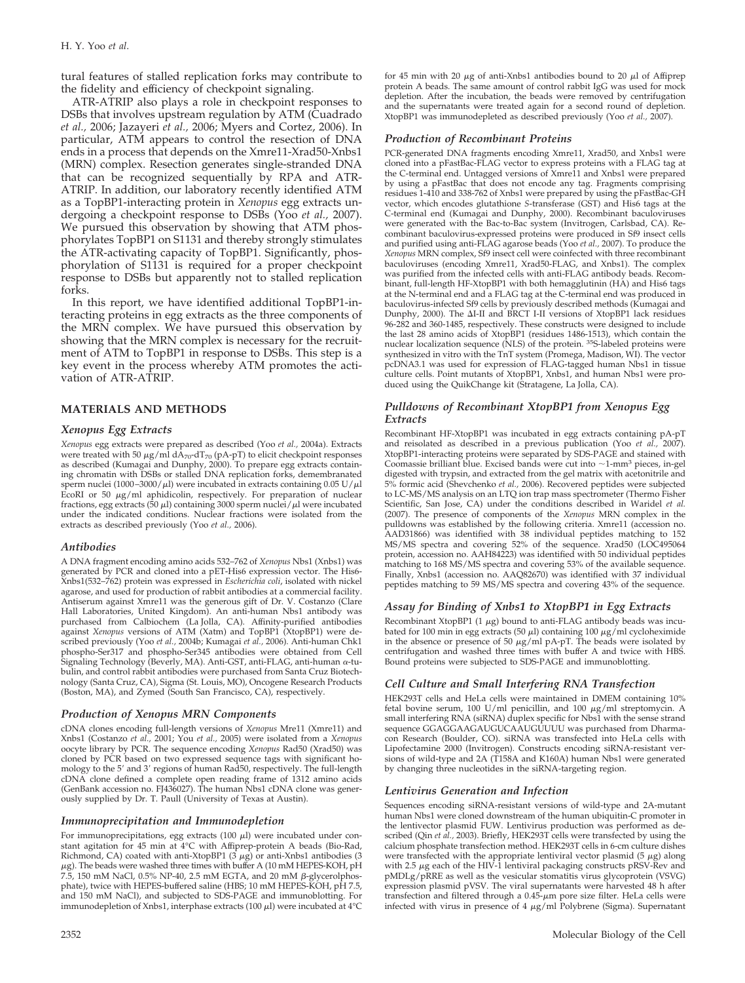tural features of stalled replication forks may contribute to the fidelity and efficiency of checkpoint signaling.

ATR-ATRIP also plays a role in checkpoint responses to DSBs that involves upstream regulation by ATM (Cuadrado *et al.,* 2006; Jazayeri *et al.,* 2006; Myers and Cortez, 2006). In particular, ATM appears to control the resection of DNA ends in a process that depends on the Xmre11-Xrad50-Xnbs1 (MRN) complex. Resection generates single-stranded DNA that can be recognized sequentially by RPA and ATR-ATRIP. In addition, our laboratory recently identified ATM as a TopBP1-interacting protein in *Xenopus* egg extracts undergoing a checkpoint response to DSBs (Yoo *et al.,* 2007). We pursued this observation by showing that ATM phosphorylates TopBP1 on S1131 and thereby strongly stimulates the ATR-activating capacity of TopBP1. Significantly, phosphorylation of S1131 is required for a proper checkpoint response to DSBs but apparently not to stalled replication forks.

In this report, we have identified additional TopBP1-interacting proteins in egg extracts as the three components of the MRN complex. We have pursued this observation by showing that the MRN complex is necessary for the recruitment of ATM to TopBP1 in response to DSBs. This step is a key event in the process whereby ATM promotes the activation of ATR-ATRIP.

# **MATERIALS AND METHODS**

#### *Xenopus Egg Extracts*

*Xenopus* egg extracts were prepared as described (Yoo *et al.,* 2004a). Extracts were treated with 50 μg/ml dA<sub>70</sub>-dT<sub>70</sub> (pA-pT) to elicit checkpoint responses<br>as described (Kumagai and Dunphy, 2000). To prepare egg extracts containing chromatin with DSBs or stalled DNA replication forks, demembranated sperm nuclei (1000-3000/ $\mu$ l) were incubated in extracts containing 0.05 U/ $\mu$ l EcoRI or 50  $\mu$ g/ml aphidicolin, respectively. For preparation of nuclear fractions, egg extracts (50  $\mu$ l) containing 3000 sperm nuclei/ $\mu$ l were incubated under the indicated conditions. Nuclear fractions were isolated from the extracts as described previously (Yoo *et al.,* 2006).

#### *Antibodies*

A DNA fragment encoding amino acids 532–762 of *Xenopus* Nbs1 (Xnbs1) was generated by PCR and cloned into a pET-His6 expression vector. The His6- Xnbs1(532–762) protein was expressed in *Escherichia coli*, isolated with nickel agarose, and used for production of rabbit antibodies at a commercial facility. Antiserum against Xmre11 was the generous gift of Dr. V. Costanzo (Clare Hall Laboratories, United Kingdom). An anti-human Nbs1 antibody was purchased from Calbiochem (La Jolla, CA). Affinity-purified antibodies against *Xenopus* versions of ATM (Xatm) and TopBP1 (XtopBP1) were described previously (Yoo *et al.,* 2004b; Kumagai *et al.,* 2006). Anti-human Chk1 phospho-Ser317 and phospho-Ser345 antibodies were obtained from Cell Signaling Technology (Beverly, MA). Anti-GST, anti-FLAG, anti-human  $\alpha$ -tubulin, and control rabbit antibodies were purchased from Santa Cruz Biotechnology (Santa Cruz, CA), Sigma (St. Louis, MO), Oncogene Research Products (Boston, MA), and Zymed (South San Francisco, CA), respectively.

#### *Production of Xenopus MRN Components*

cDNA clones encoding full-length versions of *Xenopus* Mre11 (Xmre11) and Xnbs1 (Costanzo *et al.,* 2001; You *et al.,* 2005) were isolated from a *Xenopus* oocyte library by PCR. The sequence encoding *Xenopus* Rad50 (Xrad50) was cloned by PCR based on two expressed sequence tags with significant homology to the 5' and 3' regions of human Rad50, respectively. The full-length cDNA clone defined a complete open reading frame of 1312 amino acids (GenBank accession no. FJ436027). The human Nbs1 cDNA clone was generously supplied by Dr. T. Paull (University of Texas at Austin).

#### *Immunoprecipitation and Immunodepletion*

For immunoprecipitations, egg extracts (100  $\mu$ l) were incubated under constant agitation for 45 min at 4°C with Affiprep-protein A beads (Bio-Rad, Richmond, CA) coated with anti-XtopBP1 ( $3 \mu g$ ) or anti-Xnbs1 antibodies (3)  $\mu$ g). The beads were washed three times with buffer A (10 mM HEPES-KOH, pH 7.5, 150 mM NaCl, 0.5% NP-40, 2.5 mM EGTA, and 20 mM  $\beta$ -glycerolphosphate), twice with HEPES-buffered saline (HBS; 10 mM HEPES-KOH, pH 7.5, and 150 mM NaCl), and subjected to SDS-PAGE and immunoblotting. For immunodepletion of Xnbs1, interphase extracts (100  $\mu$ l) were incubated at 4°C for 45 min with 20  $\mu$ g of anti-Xnbs1 antibodies bound to 20  $\mu$ l of Affiprep protein A beads. The same amount of control rabbit IgG was used for mock depletion. After the incubation, the beads were removed by centrifugation and the supernatants were treated again for a second round of depletion. XtopBP1 was immunodepleted as described previously (Yoo *et al.,* 2007).

#### *Production of Recombinant Proteins*

PCR-generated DNA fragments encoding Xmre11, Xrad50, and Xnbs1 were cloned into a pFastBac-FLAG vector to express proteins with a FLAG tag at the C-terminal end. Untagged versions of Xmre11 and Xnbs1 were prepared by using a pFastBac that does not encode any tag. Fragments comprising residues 1-410 and 338-762 of Xnbs1 were prepared by using the pFastBac-GH vector, which encodes glutathione *S*-transferase (GST) and His6 tags at the C-terminal end (Kumagai and Dunphy, 2000). Recombinant baculoviruses were generated with the Bac-to-Bac system (Invitrogen, Carlsbad, CA). Recombinant baculovirus-expressed proteins were produced in Sf9 insect cells and purified using anti-FLAG agarose beads (Yoo *et al.,* 2007). To produce the *Xenopus* MRN complex, Sf9 insect cell were coinfected with three recombinant baculoviruses (encoding Xmre11, Xrad50-FLAG, and Xnbs1). The complex was purified from the infected cells with anti-FLAG antibody beads. Recombinant, full-length HF-XtopBP1 with both hemagglutinin (HA) and His6 tags at the N-terminal end and a FLAG tag at the C-terminal end was produced in baculovirus-infected Sf9 cells by previously described methods (Kumagai and Dunphy, 2000). The  $\Delta I$ -II and BRCT I-II versions of XtopBP1 lack residues 96-282 and 360-1485, respectively. These constructs were designed to include the last 28 amino acids of XtopBP1 (residues 1486-1513), which contain the nuclear localization sequence (NLS) of the protein. 35S-labeled proteins were synthesized in vitro with the TnT system (Promega, Madison, WI). The vector pcDNA3.1 was used for expression of FLAG-tagged human Nbs1 in tissue culture cells. Point mutants of XtopBP1, Xnbs1, and human Nbs1 were produced using the QuikChange kit (Stratagene, La Jolla, CA).

#### *Pulldowns of Recombinant XtopBP1 from Xenopus Egg Extracts*

Recombinant HF-XtopBP1 was incubated in egg extracts containing pA-pT and reisolated as described in a previous publication (Yoo *et al.,* 2007). XtopBP1-interacting proteins were separated by SDS-PAGE and stained with Coomassie brilliant blue. Excised bands were cut into  $\sim$ 1-mm<sup>3</sup> pieces, in-gel digested with trypsin, and extracted from the gel matrix with acetonitrile and 5% formic acid (Shevchenko *et al.,* 2006). Recovered peptides were subjected to LC-MS/MS analysis on an LTQ ion trap mass spectrometer (Thermo Fisher Scientific, San Jose, CA) under the conditions described in Waridel *et al.* (2007). The presence of components of the *Xenopus* MRN complex in the pulldowns was established by the following criteria. Xmre11 (accession no. AAD31866) was identified with 38 individual peptides matching to 152 MS/MS spectra and covering 52% of the sequence. Xrad50 (LOC495064 protein, accession no. AAH84223) was identified with 50 individual peptides matching to 168 MS/MS spectra and covering 53% of the available sequence. Finally, Xnbs1 (accession no. AAQ82670) was identified with 37 individual peptides matching to 59 MS/MS spectra and covering 43% of the sequence.

## *Assay for Binding of Xnbs1 to XtopBP1 in Egg Extracts*

Recombinant XtopBP1 (1  $\mu$ g) bound to anti-FLAG antibody beads was incubated for 100 min in egg extracts (50  $\mu$ l) containing 100  $\mu$ g/ml cycloheximide<br>in the absence or presence of 50  $\mu$ g/ml pA-pT. The beads were isolated by centrifugation and washed three times with buffer A and twice with HBS. Bound proteins were subjected to SDS-PAGE and immunoblotting.

#### *Cell Culture and Small Interfering RNA Transfection*

HEK293T cells and HeLa cells were maintained in DMEM containing 10% fetal bovine serum, 100 U/ml penicillin, and 100  $\mu$ g/ml streptomycin. A small interfering RNA (siRNA) duplex specific for Nbs1 with the sense strand sequence GGAGGAAGAUGUCAAUGUUUU was purchased from Dharmacon Research (Boulder, CO). siRNA was transfected into HeLa cells with Lipofectamine 2000 (Invitrogen). Constructs encoding siRNA-resistant versions of wild-type and 2A (T158A and K160A) human Nbs1 were generated by changing three nucleotides in the siRNA-targeting region.

#### *Lentivirus Generation and Infection*

Sequences encoding siRNA-resistant versions of wild-type and 2A-mutant human Nbs1 were cloned downstream of the human ubiquitin-C promoter in the lentivector plasmid FUW. Lentivirus production was performed as described (Qin *et al.,* 2003). Briefly, HEK293T cells were transfected by using the calcium phosphate transfection method. HEK293T cells in 6-cm culture dishes were transfected with the appropriate lentiviral vector plasmid  $(5 \mu g)$  along with 2.5  $\mu$ g each of the HIV-1 lentiviral packaging constructs pRSV-Rev and pMDLg/pRRE as well as the vesicular stomatitis virus glycoprotein (VSVG) expression plasmid pVSV. The viral supernatants were harvested 48 h after transfection and filtered through a 0.45-µm pore size filter. HeLa cells were<br>infected with virus in presence of 4 µg/ml Polybrene (Sigma). Supernatant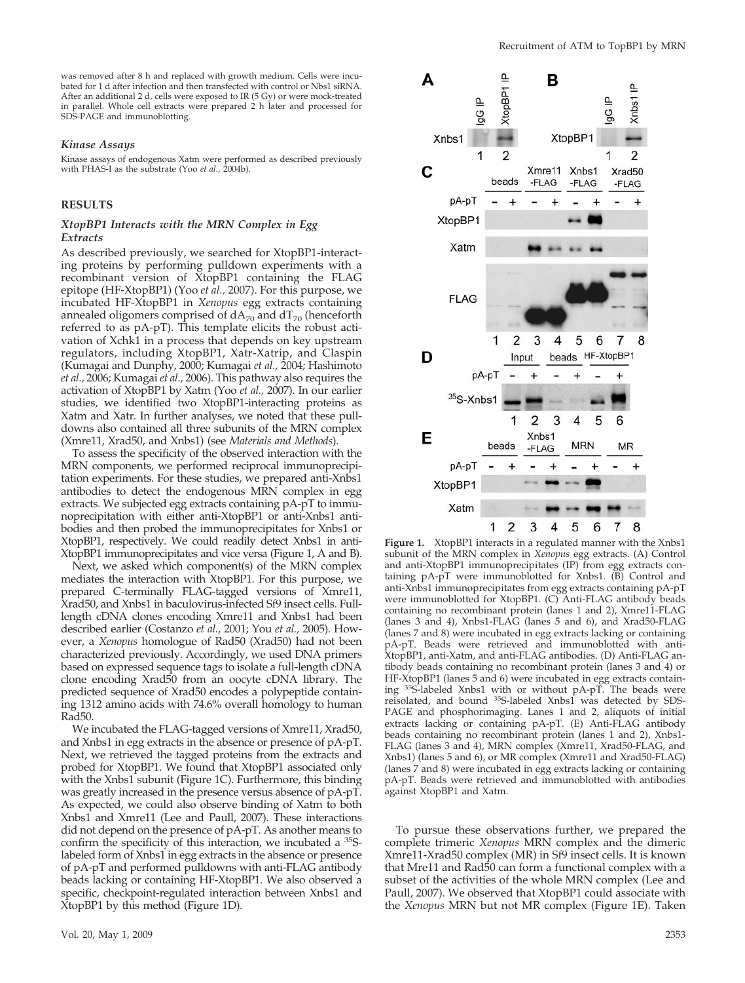was removed after 8 h and replaced with growth medium. Cells were incubated for 1 d after infection and then transfected with control or Nbs1 siRNA. After an additional 2 d, cells were exposed to IR (5 Gy) or were mock-treated in parallel. Whole cell extracts were prepared 2 h later and processed for SDS-PAGE and immunoblotting.

#### *Kinase Assays*

Kinase assays of endogenous Xatm were performed as described previously with PHAS-I as the substrate (Yoo *et al.*, 2004b).

# **RESULTS**

#### *XtopBP1 Interacts with the MRN Complex in Egg Extracts*

As described previously, we searched for XtopBP1-interacting proteins by performing pulldown experiments with a recombinant version of XtopBP1 containing the FLAG epitope (HF-XtopBP1) (Yoo *et al.,* 2007). For this purpose, we incubated HF-XtopBP1 in *Xenopus* egg extracts containing annealed oligomers comprised of  $dA_{70}$  and  $dT_{70}$  (henceforth referred to as pA-pT). This template elicits the robust activation of Xchk1 in a process that depends on key upstream regulators, including XtopBP1, Xatr-Xatrip, and Claspin (Kumagai and Dunphy, 2000; Kumagai *et al.,* 2004; Hashimoto *et al.,* 2006; Kumagai *et al.,* 2006). This pathway also requires the activation of XtopBP1 by Xatm (Yoo *et al.,* 2007). In our earlier studies, we identified two XtopBP1-interacting proteins as Xatm and Xatr. In further analyses, we noted that these pulldowns also contained all three subunits of the MRN complex (Xmre11, Xrad50, and Xnbs1) (see *Materials and Methods*).

To assess the specificity of the observed interaction with the MRN components, we performed reciprocal immunoprecipitation experiments. For these studies, we prepared anti-Xnbs1 antibodies to detect the endogenous MRN complex in egg extracts. We subjected egg extracts containing pA-pT to immunoprecipitation with either anti-XtopBP1 or anti-Xnbs1 antibodies and then probed the immunoprecipitates for Xnbs1 or XtopBP1, respectively. We could readily detect Xnbs1 in anti-XtopBP1 immunoprecipitates and vice versa (Figure 1, A and B).

Next, we asked which component(s) of the MRN complex mediates the interaction with XtopBP1. For this purpose, we prepared C-terminally FLAG-tagged versions of Xmre11, Xrad50, and Xnbs1 in baculovirus-infected Sf9 insect cells. Fulllength cDNA clones encoding Xmre11 and Xnbs1 had been described earlier (Costanzo *et al.,* 2001; You *et al.,* 2005). However, a *Xenopus* homologue of Rad50 (Xrad50) had not been characterized previously. Accordingly, we used DNA primers based on expressed sequence tags to isolate a full-length cDNA clone encoding Xrad50 from an oocyte cDNA library. The predicted sequence of Xrad50 encodes a polypeptide containing 1312 amino acids with 74.6% overall homology to human Rad50.

We incubated the FLAG-tagged versions of Xmre11, Xrad50, and Xnbs1 in egg extracts in the absence or presence of pA-pT. Next, we retrieved the tagged proteins from the extracts and probed for XtopBP1. We found that XtopBP1 associated only with the Xnbs1 subunit (Figure 1C). Furthermore, this binding was greatly increased in the presence versus absence of pA-pT. As expected, we could also observe binding of Xatm to both Xnbs1 and Xmre11 (Lee and Paull, 2007). These interactions did not depend on the presence of pA-pT. As another means to confirm the specificity of this interaction, we incubated a 35Slabeled form of Xnbs1 in egg extracts in the absence or presence of pA-pT and performed pulldowns with anti-FLAG antibody beads lacking or containing HF-XtopBP1. We also observed a specific, checkpoint-regulated interaction between Xnbs1 and XtopBP1 by this method (Figure 1D).



**Figure 1.** XtopBP1 interacts in a regulated manner with the Xnbs1 subunit of the MRN complex in *Xenopus* egg extracts. (A) Control and anti-XtopBP1 immunoprecipitates (IP) from egg extracts containing pA-pT were immunoblotted for Xnbs1. (B) Control and anti-Xnbs1 immunoprecipitates from egg extracts containing pA-pT were immunoblotted for XtopBP1. (C) Anti-FLAG antibody beads containing no recombinant protein (lanes 1 and 2), Xmre11-FLAG (lanes 3 and 4), Xnbs1-FLAG (lanes 5 and 6), and Xrad50-FLAG (lanes 7 and 8) were incubated in egg extracts lacking or containing pA-pT. Beads were retrieved and immunoblotted with anti-XtopBP1, anti-Xatm, and anti-FLAG antibodies. (D) Anti-FLAG antibody beads containing no recombinant protein (lanes 3 and 4) or HF-XtopBP1 (lanes 5 and 6) were incubated in egg extracts containing 35S-labeled Xnbs1 with or without pA-pT. The beads were reisolated, and bound <sup>35</sup>S-labeled Xnbs1 was detected by SDS-PAGE and phosphorimaging. Lanes 1 and 2, aliquots of initial extracts lacking or containing pA-pT. (E) Anti-FLAG antibody beads containing no recombinant protein (lanes 1 and 2), Xnbs1- FLAG (lanes 3 and 4), MRN complex (Xmre11, Xrad50-FLAG, and Xnbs1) (lanes 5 and 6), or MR complex (Xmre11 and Xrad50-FLAG) (lanes 7 and 8) were incubated in egg extracts lacking or containing pA-pT. Beads were retrieved and immunoblotted with antibodies against XtopBP1 and Xatm.

To pursue these observations further, we prepared the complete trimeric *Xenopus* MRN complex and the dimeric Xmre11-Xrad50 complex (MR) in Sf9 insect cells. It is known that Mre11 and Rad50 can form a functional complex with a subset of the activities of the whole MRN complex (Lee and Paull, 2007). We observed that XtopBP1 could associate with the *Xenopus* MRN but not MR complex (Figure 1E). Taken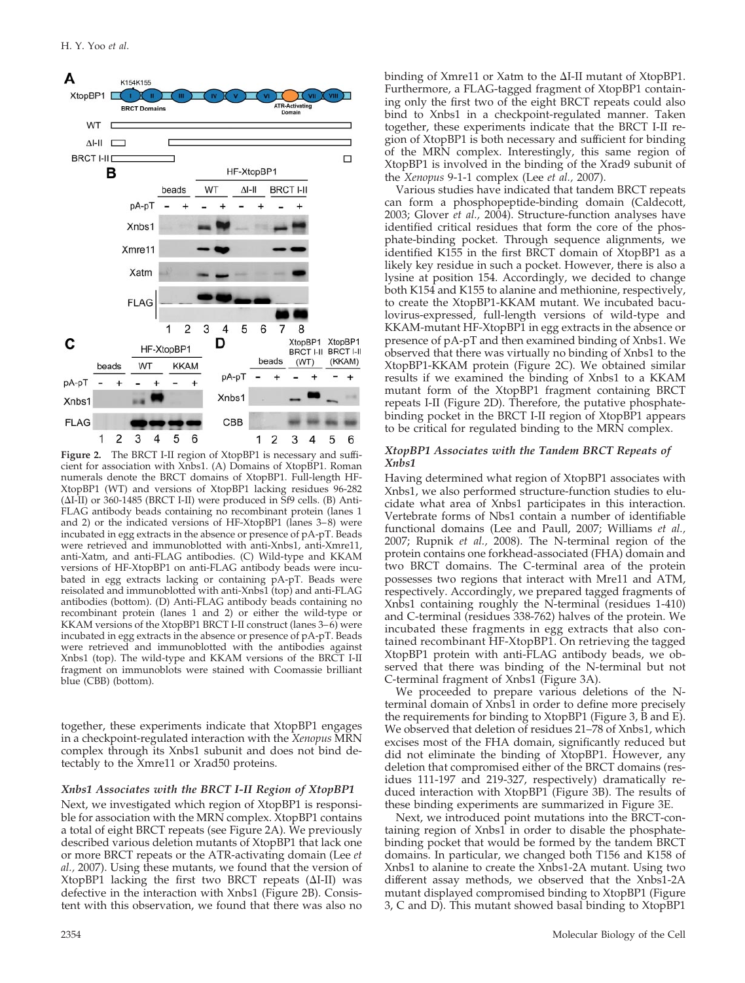

**Figure 2.** The BRCT I-II region of XtopBP1 is necessary and sufficient for association with Xnbs1. (A) Domains of XtopBP1. Roman numerals denote the BRCT domains of XtopBP1. Full-length HF-XtopBP1 (WT) and versions of XtopBP1 lacking residues 96-282  $(\Delta I-II)$  or 360-1485 (BRCT I-II) were produced in Sf9 cells. (B) Anti-FLAG antibody beads containing no recombinant protein (lanes 1 and 2) or the indicated versions of HF-XtopBP1 (lanes 3–8) were incubated in egg extracts in the absence or presence of pA-pT. Beads were retrieved and immunoblotted with anti-Xnbs1, anti-Xmre11, anti-Xatm, and anti-FLAG antibodies. (C) Wild-type and KKAM versions of HF-XtopBP1 on anti-FLAG antibody beads were incubated in egg extracts lacking or containing pA-pT. Beads were reisolated and immunoblotted with anti-Xnbs1 (top) and anti-FLAG antibodies (bottom). (D) Anti-FLAG antibody beads containing no recombinant protein (lanes 1 and 2) or either the wild-type or KKAM versions of the XtopBP1 BRCT I-II construct (lanes 3–6) were incubated in egg extracts in the absence or presence of pA-pT. Beads were retrieved and immunoblotted with the antibodies against Xnbs1 (top). The wild-type and KKAM versions of the BRCT I-II fragment on immunoblots were stained with Coomassie brilliant blue (CBB) (bottom).

together, these experiments indicate that XtopBP1 engages in a checkpoint-regulated interaction with the *Xenopus* MRN complex through its Xnbs1 subunit and does not bind detectably to the Xmre11 or Xrad50 proteins.

#### *Xnbs1 Associates with the BRCT I-II Region of XtopBP1*

Next, we investigated which region of XtopBP1 is responsible for association with the MRN complex. XtopBP1 contains a total of eight BRCT repeats (see Figure 2A). We previously described various deletion mutants of XtopBP1 that lack one or more BRCT repeats or the ATR-activating domain (Lee *et al.,* 2007). Using these mutants, we found that the version of  $X$ topBP1 lacking the first two BRCT repeats ( $\Delta I$ -II) was defective in the interaction with Xnbs1 (Figure 2B). Consistent with this observation, we found that there was also no

binding of Xmre11 or Xatm to the  $\Delta I$ -II mutant of XtopBP1. Furthermore, a FLAG-tagged fragment of XtopBP1 containing only the first two of the eight BRCT repeats could also bind to Xnbs1 in a checkpoint-regulated manner. Taken together, these experiments indicate that the BRCT I-II region of XtopBP1 is both necessary and sufficient for binding of the MRN complex. Interestingly, this same region of XtopBP1 is involved in the binding of the Xrad9 subunit of the *Xenopus* 9-1-1 complex (Lee *et al.,* 2007).

Various studies have indicated that tandem BRCT repeats can form a phosphopeptide-binding domain (Caldecott, 2003; Glover *et al.,* 2004). Structure-function analyses have identified critical residues that form the core of the phosphate-binding pocket. Through sequence alignments, we identified K155 in the first BRCT domain of XtopBP1 as a likely key residue in such a pocket. However, there is also a lysine at position 154. Accordingly, we decided to change both K154 and K155 to alanine and methionine, respectively, to create the XtopBP1-KKAM mutant. We incubated baculovirus-expressed, full-length versions of wild-type and KKAM-mutant HF-XtopBP1 in egg extracts in the absence or presence of pA-pT and then examined binding of Xnbs1. We observed that there was virtually no binding of Xnbs1 to the XtopBP1-KKAM protein (Figure 2C). We obtained similar results if we examined the binding of Xnbs1 to a KKAM mutant form of the XtopBP1 fragment containing BRCT repeats I-II (Figure 2D). Therefore, the putative phosphatebinding pocket in the BRCT I-II region of XtopBP1 appears to be critical for regulated binding to the MRN complex.

## *XtopBP1 Associates with the Tandem BRCT Repeats of Xnbs1*

Having determined what region of XtopBP1 associates with Xnbs1, we also performed structure-function studies to elucidate what area of Xnbs1 participates in this interaction. Vertebrate forms of Nbs1 contain a number of identifiable functional domains (Lee and Paull, 2007; Williams *et al.,* 2007; Rupnik *et al.,* 2008). The N-terminal region of the protein contains one forkhead-associated (FHA) domain and two BRCT domains. The C-terminal area of the protein possesses two regions that interact with Mre11 and ATM, respectively. Accordingly, we prepared tagged fragments of Xnbs1 containing roughly the N-terminal (residues 1-410) and C-terminal (residues 338-762) halves of the protein. We incubated these fragments in egg extracts that also contained recombinant HF-XtopBP1. On retrieving the tagged XtopBP1 protein with anti-FLAG antibody beads, we observed that there was binding of the N-terminal but not C-terminal fragment of Xnbs1 (Figure 3A).

We proceeded to prepare various deletions of the Nterminal domain of Xnbs1 in order to define more precisely the requirements for binding to XtopBP1 (Figure 3, B and E). We observed that deletion of residues 21–78 of Xnbs1, which excises most of the FHA domain, significantly reduced but did not eliminate the binding of XtopBP1. However, any deletion that compromised either of the BRCT domains (residues 111-197 and 219-327, respectively) dramatically reduced interaction with XtopBP1 (Figure 3B). The results of these binding experiments are summarized in Figure 3E.

Next, we introduced point mutations into the BRCT-containing region of Xnbs1 in order to disable the phosphatebinding pocket that would be formed by the tandem BRCT domains. In particular, we changed both T156 and K158 of Xnbs1 to alanine to create the Xnbs1-2A mutant. Using two different assay methods, we observed that the Xnbs1-2A mutant displayed compromised binding to XtopBP1 (Figure 3, C and D). This mutant showed basal binding to XtopBP1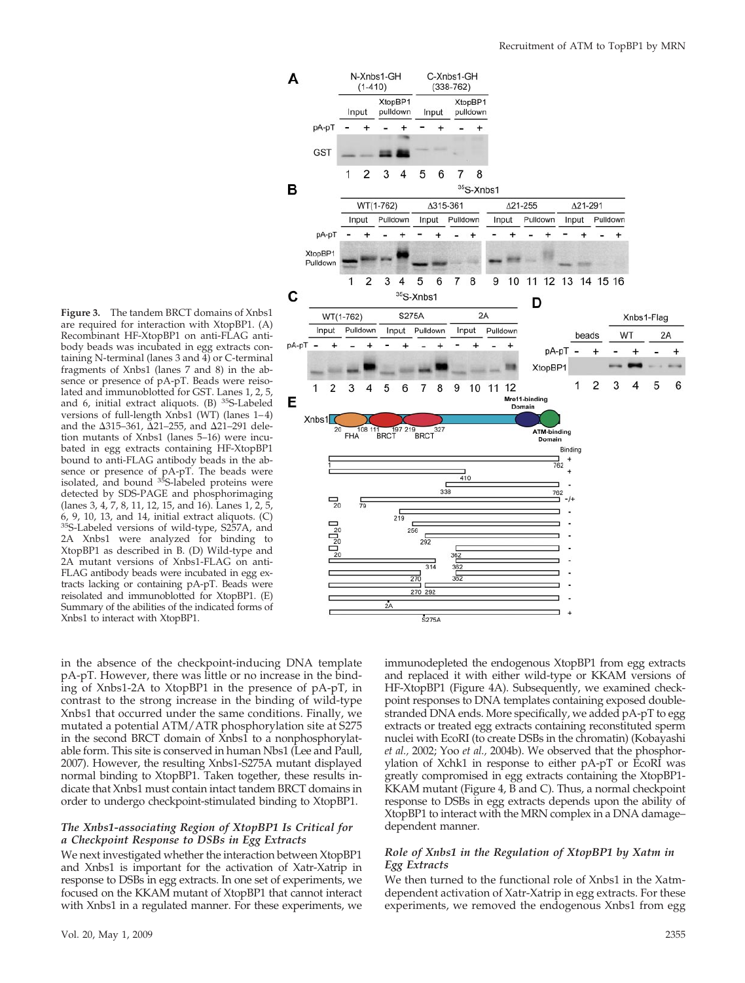**Figure 3.** The tandem BRCT domains of Xnbs1 are required for interaction with XtopBP1. (A) Recombinant HF-XtopBP1 on anti-FLAG antibody beads was incubated in egg extracts containing N-terminal (lanes 3 and 4) or C-terminal fragments of Xnbs1 (lanes 7 and 8) in the absence or presence of pA-pT. Beads were reisolated and immunoblotted for GST. Lanes 1, 2, 5, and 6, initial extract aliquots. (B) 35S-Labeled versions of full-length Xnbs1 (WT) (lanes 1–4) and the  $\Delta 315 - 361$ ,  $\Delta 21 - 255$ , and  $\Delta 21 - 291$  deletion mutants of Xnbs1 (lanes 5–16) were incubated in egg extracts containing HF-XtopBP1 bound to anti-FLAG antibody beads in the absence or presence of pA-pT. The beads were<br>isolated, and bound <sup>35</sup>S-labeled proteins were detected by SDS-PAGE and phosphorimaging (lanes 3, 4, 7, 8, 11, 12, 15, and 16). Lanes 1, 2, 5, 6, 9, 10, 13, and 14, initial extract aliquots. (C) 35S-Labeled versions of wild-type, S257A, and 2A Xnbs1 were analyzed for binding to XtopBP1 as described in B. (D) Wild-type and 2A mutant versions of Xnbs1-FLAG on anti-FLAG antibody beads were incubated in egg extracts lacking or containing pA-pT. Beads were reisolated and immunoblotted for XtopBP1. (E) Summary of the abilities of the indicated forms of Xnbs1 to interact with XtopBP1.



in the absence of the checkpoint-inducing DNA template pA-pT. However, there was little or no increase in the binding of Xnbs1-2A to XtopBP1 in the presence of pA-pT, in contrast to the strong increase in the binding of wild-type Xnbs1 that occurred under the same conditions. Finally, we mutated a potential ATM/ATR phosphorylation site at S275 in the second BRCT domain of Xnbs1 to a nonphosphorylatable form. This site is conserved in human Nbs1 (Lee and Paull, 2007). However, the resulting Xnbs1-S275A mutant displayed normal binding to XtopBP1. Taken together, these results indicate that Xnbs1 must contain intact tandem BRCT domains in order to undergo checkpoint-stimulated binding to XtopBP1.

# *The Xnbs1-associating Region of XtopBP1 Is Critical for a Checkpoint Response to DSBs in Egg Extracts*

We next investigated whether the interaction between XtopBP1 and Xnbs1 is important for the activation of Xatr-Xatrip in response to DSBs in egg extracts. In one set of experiments, we focused on the KKAM mutant of XtopBP1 that cannot interact with Xnbs1 in a regulated manner. For these experiments, we immunodepleted the endogenous XtopBP1 from egg extracts and replaced it with either wild-type or KKAM versions of HF-XtopBP1 (Figure 4A). Subsequently, we examined checkpoint responses to DNA templates containing exposed doublestranded DNA ends. More specifically, we added pA-pT to egg extracts or treated egg extracts containing reconstituted sperm nuclei with EcoRI (to create DSBs in the chromatin) (Kobayashi *et al.,* 2002; Yoo *et al.,* 2004b). We observed that the phosphorylation of Xchk1 in response to either pA-pT or EcoRI was greatly compromised in egg extracts containing the XtopBP1- KKAM mutant (Figure 4, B and C). Thus, a normal checkpoint response to DSBs in egg extracts depends upon the ability of XtopBP1 to interact with the MRN complex in a DNA damage– dependent manner.

# *Role of Xnbs1 in the Regulation of XtopBP1 by Xatm in Egg Extracts*

We then turned to the functional role of Xnbs1 in the Xatmdependent activation of Xatr-Xatrip in egg extracts. For these experiments, we removed the endogenous Xnbs1 from egg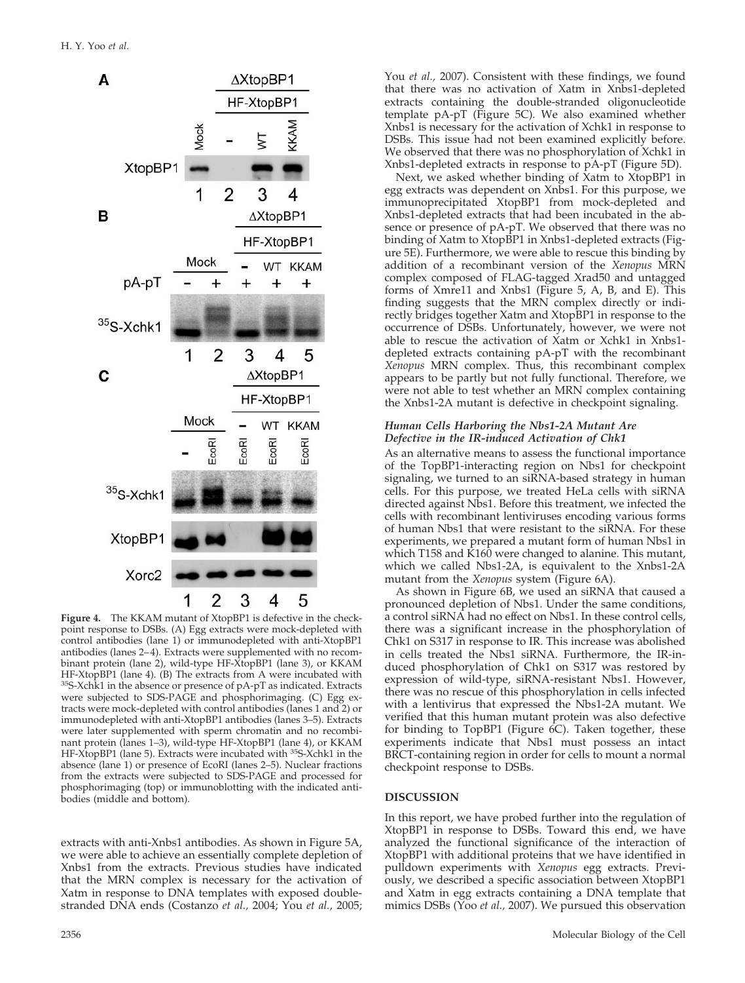

**Figure 4.** The KKAM mutant of XtopBP1 is defective in the checkpoint response to DSBs. (A) Egg extracts were mock-depleted with control antibodies (lane 1) or immunodepleted with anti-XtopBP1 antibodies (lanes 2–4). Extracts were supplemented with no recombinant protein (lane 2), wild-type HF-XtopBP1 (lane 3), or KKAM HF-XtopBP1 (lane 4). (B) The extracts from A were incubated with 35S-Xchk1 in the absence or presence of pA-pT as indicated. Extracts were subjected to SDS-PAGE and phosphorimaging. (C) Egg extracts were mock-depleted with control antibodies (lanes 1 and 2) or immunodepleted with anti-XtopBP1 antibodies (lanes 3–5). Extracts were later supplemented with sperm chromatin and no recombinant protein (lanes 1–3), wild-type HF-XtopBP1 (lane 4), or KKAM HF-XtopBP1 (lane 5). Extracts were incubated with <sup>35</sup>S-Xchk1 in the absence (lane 1) or presence of EcoRI (lanes 2–5). Nuclear fractions from the extracts were subjected to SDS-PAGE and processed for phosphorimaging (top) or immunoblotting with the indicated antibodies (middle and bottom).

extracts with anti-Xnbs1 antibodies. As shown in Figure 5A, we were able to achieve an essentially complete depletion of Xnbs1 from the extracts. Previous studies have indicated that the MRN complex is necessary for the activation of Xatm in response to DNA templates with exposed doublestranded DNA ends (Costanzo *et al.,* 2004; You *et al.,* 2005; You *et al.,* 2007). Consistent with these findings, we found that there was no activation of Xatm in Xnbs1-depleted extracts containing the double-stranded oligonucleotide template pA-pT (Figure 5C). We also examined whether Xnbs1 is necessary for the activation of Xchk1 in response to DSBs. This issue had not been examined explicitly before. We observed that there was no phosphorylation of Xchk1 in Xnbs1-depleted extracts in response to pA-pT (Figure 5D).

Next, we asked whether binding of Xatm to XtopBP1 in egg extracts was dependent on Xnbs1. For this purpose, we immunoprecipitated XtopBP1 from mock-depleted and Xnbs1-depleted extracts that had been incubated in the absence or presence of pA-pT. We observed that there was no binding of Xatm to XtopBP1 in Xnbs1-depleted extracts (Figure 5E). Furthermore, we were able to rescue this binding by addition of a recombinant version of the *Xenopus* MRN complex composed of FLAG-tagged Xrad50 and untagged forms of Xmre11 and Xnbs1 (Figure 5, A, B, and E). This finding suggests that the MRN complex directly or indirectly bridges together Xatm and XtopBP1 in response to the occurrence of DSBs. Unfortunately, however, we were not able to rescue the activation of Xatm or Xchk1 in Xnbs1 depleted extracts containing pA-pT with the recombinant *Xenopus* MRN complex. Thus, this recombinant complex appears to be partly but not fully functional. Therefore, we were not able to test whether an MRN complex containing the Xnbs1-2A mutant is defective in checkpoint signaling.

#### *Human Cells Harboring the Nbs1-2A Mutant Are Defective in the IR-induced Activation of Chk1*

As an alternative means to assess the functional importance of the TopBP1-interacting region on Nbs1 for checkpoint signaling, we turned to an siRNA-based strategy in human cells. For this purpose, we treated HeLa cells with siRNA directed against Nbs1. Before this treatment, we infected the cells with recombinant lentiviruses encoding various forms of human Nbs1 that were resistant to the siRNA. For these experiments, we prepared a mutant form of human Nbs1 in which T158 and  $\overline{K}16\overline{0}$  were changed to alanine. This mutant, which we called Nbs1-2A, is equivalent to the Xnbs1-2A mutant from the *Xenopus* system (Figure 6A).

As shown in Figure 6B, we used an siRNA that caused a pronounced depletion of Nbs1. Under the same conditions, a control siRNA had no effect on Nbs1. In these control cells, there was a significant increase in the phosphorylation of Chk1 on S317 in response to IR. This increase was abolished in cells treated the Nbs1 siRNA. Furthermore, the IR-induced phosphorylation of Chk1 on S317 was restored by expression of wild-type, siRNA-resistant Nbs1. However, there was no rescue of this phosphorylation in cells infected with a lentivirus that expressed the Nbs1-2A mutant. We verified that this human mutant protein was also defective for binding to TopBP1 (Figure 6C). Taken together, these experiments indicate that Nbs1 must possess an intact BRCT-containing region in order for cells to mount a normal checkpoint response to DSBs.

# **DISCUSSION**

In this report, we have probed further into the regulation of XtopBP1 in response to DSBs. Toward this end, we have analyzed the functional significance of the interaction of XtopBP1 with additional proteins that we have identified in pulldown experiments with *Xenopus* egg extracts. Previously, we described a specific association between XtopBP1 and Xatm in egg extracts containing a DNA template that mimics DSBs (Yoo *et al.,* 2007). We pursued this observation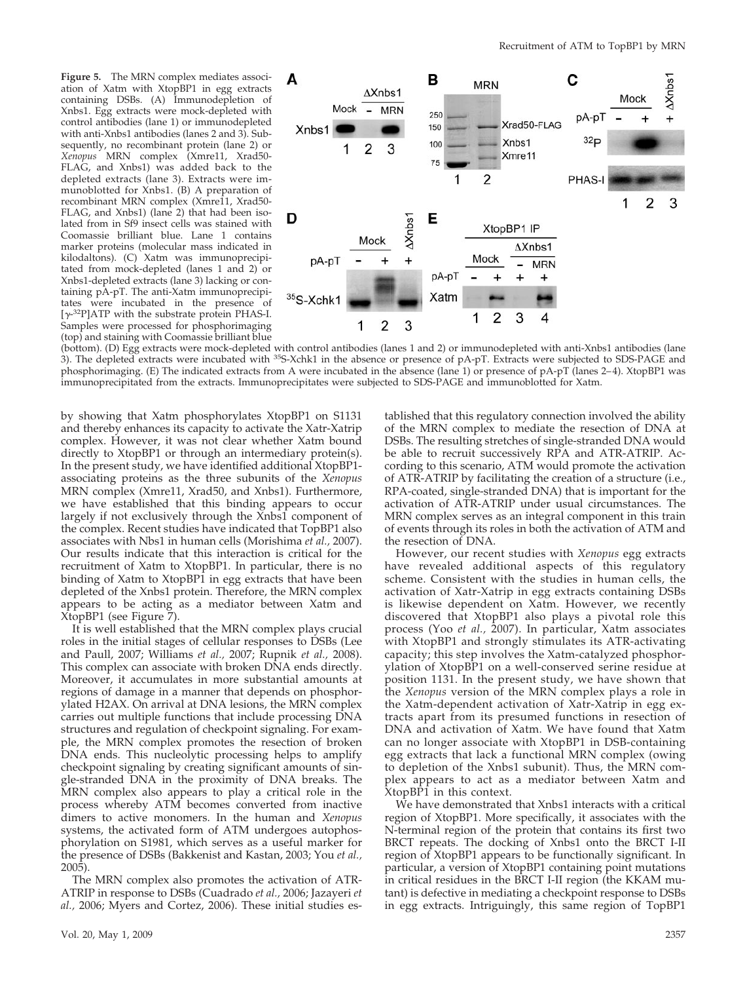**Figure 5.** The MRN complex mediates association of Xatm with XtopBP1 in egg extracts containing DSBs. (A) Immunodepletion of Xnbs1. Egg extracts were mock-depleted with control antibodies (lane 1) or immunodepleted with anti-Xnbs1 antibodies (lanes 2 and 3). Subsequently, no recombinant protein (lane 2) or *Xenopus* MRN complex (Xmre11, Xrad50- FLAG, and Xnbs1) was added back to the depleted extracts (lane 3). Extracts were immunoblotted for Xnbs1. (B) A preparation of recombinant MRN complex (Xmre11, Xrad50-FLAG, and Xnbs1) (lane 2) that had been isolated from in Sf9 insect cells was stained with Coomassie brilliant blue. Lane 1 contains marker proteins (molecular mass indicated in kilodaltons). (C) Xatm was immunoprecipitated from mock-depleted (lanes 1 and 2) or Xnbs1-depleted extracts (lane 3) lacking or containing pA-pT. The anti-Xatm immunoprecipitates were incubated in the presence of  $[\gamma$ -<sup>32</sup>P]ATP with the substrate protein PHAS-I. Samples were processed for phosphorimaging (top) and staining with Coomassie brilliant blue



(bottom). (D) Egg extracts were mock-depleted with control antibodies (lanes 1 and 2) or immunodepleted with anti-Xnbs1 antibodies (lane 3). The depleted extracts were incubated with 35S-Xchk1 in the absence or presence of pA-pT. Extracts were subjected to SDS-PAGE and phosphorimaging. (E) The indicated extracts from A were incubated in the absence (lane 1) or presence of pA-pT (lanes 2–4). XtopBP1 was immunoprecipitated from the extracts. Immunoprecipitates were subjected to SDS-PAGE and immunoblotted for Xatm.

by showing that Xatm phosphorylates XtopBP1 on S1131 and thereby enhances its capacity to activate the Xatr-Xatrip complex. However, it was not clear whether Xatm bound directly to XtopBP1 or through an intermediary protein(s). In the present study, we have identified additional XtopBP1 associating proteins as the three subunits of the *Xenopus* MRN complex (Xmre11, Xrad50, and Xnbs1). Furthermore, we have established that this binding appears to occur largely if not exclusively through the Xnbs1 component of the complex. Recent studies have indicated that TopBP1 also associates with Nbs1 in human cells (Morishima *et al.,* 2007). Our results indicate that this interaction is critical for the recruitment of Xatm to XtopBP1. In particular, there is no binding of Xatm to XtopBP1 in egg extracts that have been depleted of the Xnbs1 protein. Therefore, the MRN complex appears to be acting as a mediator between Xatm and XtopBP1 (see Figure 7).

It is well established that the MRN complex plays crucial roles in the initial stages of cellular responses to DSBs (Lee and Paull, 2007; Williams *et al.,* 2007; Rupnik *et al.,* 2008). This complex can associate with broken DNA ends directly. Moreover, it accumulates in more substantial amounts at regions of damage in a manner that depends on phosphorylated H2AX. On arrival at DNA lesions, the MRN complex carries out multiple functions that include processing DNA structures and regulation of checkpoint signaling. For example, the MRN complex promotes the resection of broken DNA ends. This nucleolytic processing helps to amplify checkpoint signaling by creating significant amounts of single-stranded DNA in the proximity of DNA breaks. The MRN complex also appears to play a critical role in the process whereby ATM becomes converted from inactive dimers to active monomers. In the human and *Xenopus* systems, the activated form of ATM undergoes autophosphorylation on S1981, which serves as a useful marker for the presence of DSBs (Bakkenist and Kastan, 2003; You *et al.,* 2005).

The MRN complex also promotes the activation of ATR-ATRIP in response to DSBs (Cuadrado *et al.,* 2006; Jazayeri *et al.,* 2006; Myers and Cortez, 2006). These initial studies established that this regulatory connection involved the ability of the MRN complex to mediate the resection of DNA at DSBs. The resulting stretches of single-stranded DNA would be able to recruit successively RPA and ATR-ATRIP. According to this scenario, ATM would promote the activation of ATR-ATRIP by facilitating the creation of a structure (i.e., RPA-coated, single-stranded DNA) that is important for the activation of ATR-ATRIP under usual circumstances. The MRN complex serves as an integral component in this train of events through its roles in both the activation of ATM and the resection of DNA.

However, our recent studies with *Xenopus* egg extracts have revealed additional aspects of this regulatory scheme. Consistent with the studies in human cells, the activation of Xatr-Xatrip in egg extracts containing DSBs is likewise dependent on Xatm. However, we recently discovered that XtopBP1 also plays a pivotal role this process (Yoo *et al.,* 2007). In particular, Xatm associates with XtopBP1 and strongly stimulates its ATR-activating capacity; this step involves the Xatm-catalyzed phosphorylation of XtopBP1 on a well-conserved serine residue at position 1131. In the present study, we have shown that the *Xenopus* version of the MRN complex plays a role in the Xatm-dependent activation of Xatr-Xatrip in egg extracts apart from its presumed functions in resection of DNA and activation of Xatm. We have found that Xatm can no longer associate with XtopBP1 in DSB-containing egg extracts that lack a functional MRN complex (owing to depletion of the Xnbs1 subunit). Thus, the MRN complex appears to act as a mediator between Xatm and XtopBP1 in this context.

We have demonstrated that Xnbs1 interacts with a critical region of XtopBP1. More specifically, it associates with the N-terminal region of the protein that contains its first two BRCT repeats. The docking of Xnbs1 onto the BRCT I-II region of XtopBP1 appears to be functionally significant. In particular, a version of XtopBP1 containing point mutations in critical residues in the BRCT I-II region (the KKAM mutant) is defective in mediating a checkpoint response to DSBs in egg extracts. Intriguingly, this same region of TopBP1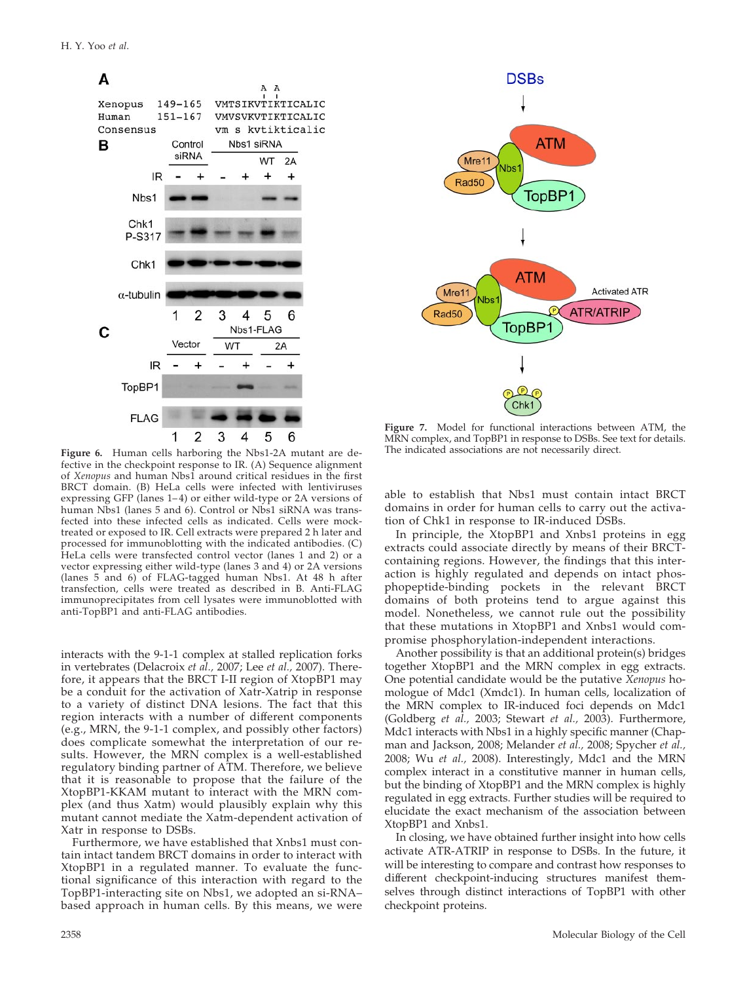

**Figure 6.** Human cells harboring the Nbs1-2A mutant are defective in the checkpoint response to IR. (A) Sequence alignment of *Xenopus* and human Nbs1 around critical residues in the first BRCT domain. (B) HeLa cells were infected with lentiviruses expressing GFP (lanes 1–4) or either wild-type or 2A versions of human Nbs1 (lanes 5 and 6). Control or Nbs1 siRNA was transfected into these infected cells as indicated. Cells were mocktreated or exposed to IR. Cell extracts were prepared 2 h later and processed for immunoblotting with the indicated antibodies. (C) HeLa cells were transfected control vector (lanes 1 and 2) or a vector expressing either wild-type (lanes 3 and 4) or 2A versions (lanes 5 and 6) of FLAG-tagged human Nbs1. At 48 h after transfection, cells were treated as described in B. Anti-FLAG immunoprecipitates from cell lysates were immunoblotted with anti-TopBP1 and anti-FLAG antibodies.

interacts with the 9-1-1 complex at stalled replication forks in vertebrates (Delacroix *et al.,* 2007; Lee *et al.,* 2007). Therefore, it appears that the BRCT I-II region of XtopBP1 may be a conduit for the activation of Xatr-Xatrip in response to a variety of distinct DNA lesions. The fact that this region interacts with a number of different components (e.g., MRN, the 9-1-1 complex, and possibly other factors) does complicate somewhat the interpretation of our results. However, the MRN complex is a well-established regulatory binding partner of ATM. Therefore, we believe that it is reasonable to propose that the failure of the XtopBP1-KKAM mutant to interact with the MRN complex (and thus Xatm) would plausibly explain why this mutant cannot mediate the Xatm-dependent activation of Xatr in response to DSBs.

Furthermore, we have established that Xnbs1 must contain intact tandem BRCT domains in order to interact with XtopBP1 in a regulated manner. To evaluate the functional significance of this interaction with regard to the TopBP1-interacting site on Nbs1, we adopted an si-RNA– based approach in human cells. By this means, we were



**Figure 7.** Model for functional interactions between ATM, the MRN complex, and TopBP1 in response to DSBs. See text for details. The indicated associations are not necessarily direct.

able to establish that Nbs1 must contain intact BRCT domains in order for human cells to carry out the activation of Chk1 in response to IR-induced DSBs.

In principle, the XtopBP1 and Xnbs1 proteins in egg extracts could associate directly by means of their BRCTcontaining regions. However, the findings that this interaction is highly regulated and depends on intact phosphopeptide-binding pockets in the relevant BRCT domains of both proteins tend to argue against this model. Nonetheless, we cannot rule out the possibility that these mutations in XtopBP1 and Xnbs1 would compromise phosphorylation-independent interactions.

Another possibility is that an additional protein(s) bridges together XtopBP1 and the MRN complex in egg extracts. One potential candidate would be the putative *Xenopus* homologue of Mdc1 (Xmdc1). In human cells, localization of the MRN complex to IR-induced foci depends on Mdc1 (Goldberg *et al.,* 2003; Stewart *et al.,* 2003). Furthermore, Mdc1 interacts with Nbs1 in a highly specific manner (Chapman and Jackson, 2008; Melander *et al.,* 2008; Spycher *et al.,* 2008; Wu *et al.,* 2008). Interestingly, Mdc1 and the MRN complex interact in a constitutive manner in human cells, but the binding of XtopBP1 and the MRN complex is highly regulated in egg extracts. Further studies will be required to elucidate the exact mechanism of the association between XtopBP1 and Xnbs1.

In closing, we have obtained further insight into how cells activate ATR-ATRIP in response to DSBs. In the future, it will be interesting to compare and contrast how responses to different checkpoint-inducing structures manifest themselves through distinct interactions of TopBP1 with other checkpoint proteins.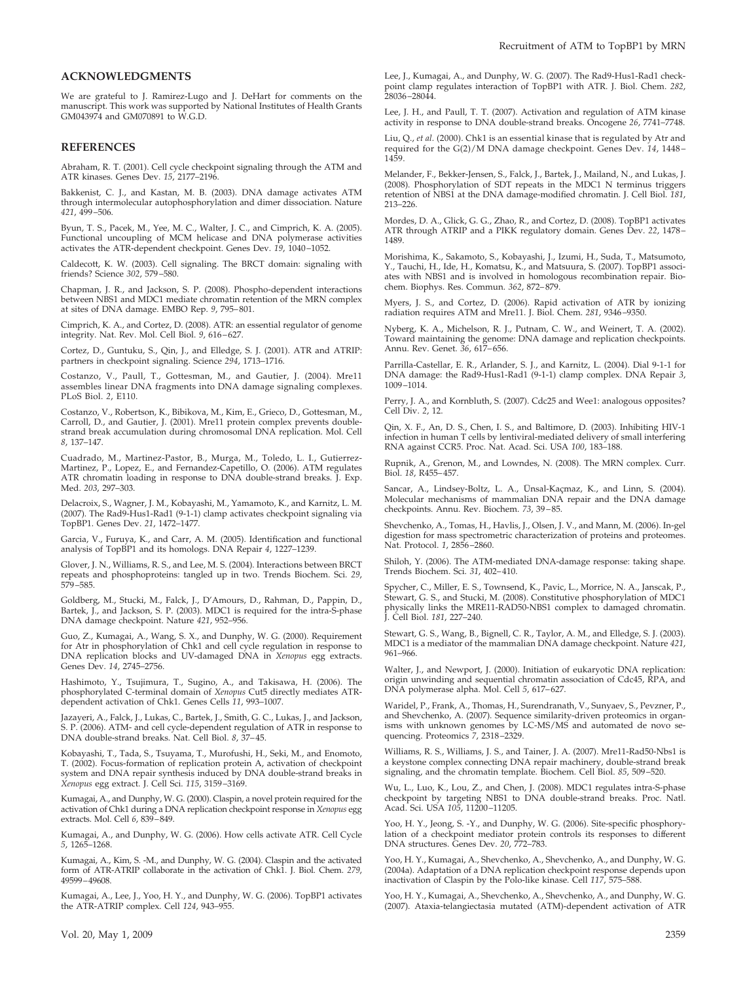# **ACKNOWLEDGMENTS**

We are grateful to J. Ramirez-Lugo and J. DeHart for comments on the manuscript. This work was supported by National Institutes of Health Grants GM043974 and GM070891 to W.G.D.

#### **REFERENCES**

Abraham, R. T. (2001). Cell cycle checkpoint signaling through the ATM and ATR kinases. Genes Dev. *15*, 2177–2196.

Bakkenist, C. J., and Kastan, M. B. (2003). DNA damage activates ATM through intermolecular autophosphorylation and dimer dissociation. Nature *421*, 499–506.

Byun, T. S., Pacek, M., Yee, M. C., Walter, J. C., and Cimprich, K. A. (2005). Functional uncoupling of MCM helicase and DNA polymerase activities activates the ATR-dependent checkpoint. Genes Dev. *19*, 1040–1052.

Caldecott, K. W. (2003). Cell signaling. The BRCT domain: signaling with friends? Science *302*, 579–580.

Chapman, J. R., and Jackson, S. P. (2008). Phospho-dependent interactions between NBS1 and MDC1 mediate chromatin retention of the MRN complex at sites of DNA damage. EMBO Rep. *9*, 795–801.

Cimprich, K. A., and Cortez, D. (2008). ATR: an essential regulator of genome integrity. Nat. Rev. Mol. Cell Biol. *9*, 616–627.

Cortez, D., Guntuku, S., Qin, J., and Elledge, S. J. (2001). ATR and ATRIP: partners in checkpoint signaling. Science *294*, 1713–1716.

Costanzo, V., Paull, T., Gottesman, M., and Gautier, J. (2004). Mre11 assembles linear DNA fragments into DNA damage signaling complexes. PLoS Biol. *2*, E110.

Costanzo, V., Robertson, K., Bibikova, M., Kim, E., Grieco, D., Gottesman, M., Carroll, D., and Gautier, J. (2001). Mre11 protein complex prevents doublestrand break accumulation during chromosomal DNA replication. Mol. Cell *8*, 137–147.

Cuadrado, M., Martinez-Pastor, B., Murga, M., Toledo, L. I., Gutierrez-Martinez, P., Lopez, E., and Fernandez-Capetillo, O. (2006). ATM regulates ATR chromatin loading in response to DNA double-strand breaks. J. Exp. Med. *203*, 297–303.

Delacroix, S., Wagner, J. M., Kobayashi, M., Yamamoto, K., and Karnitz, L. M. (2007). The Rad9-Hus1-Rad1 (9-1-1) clamp activates checkpoint signaling via TopBP1. Genes Dev. *21*, 1472–1477.

Garcia, V., Furuya, K., and Carr, A. M. (2005). Identification and functional analysis of TopBP1 and its homologs. DNA Repair *4*, 1227–1239.

Glover, J. N., Williams, R. S., and Lee, M. S. (2004). Interactions between BRCT repeats and phosphoproteins: tangled up in two. Trends Biochem. Sci. *29*, 579–585.

Goldberg, M., Stucki, M., Falck, J., D'Amours, D., Rahman, D., Pappin, D., Bartek, J., and Jackson, S. P. (2003). MDC1 is required for the intra-S-phase DNA damage checkpoint. Nature *421*, 952–956.

Guo, Z., Kumagai, A., Wang, S. X., and Dunphy, W. G. (2000). Requirement for Atr in phosphorylation of Chk1 and cell cycle regulation in response to DNA replication blocks and UV-damaged DNA in *Xenopus* egg extracts. Genes Dev. *14*, 2745–2756.

Hashimoto, Y., Tsujimura, T., Sugino, A., and Takisawa, H. (2006). The phosphorylated C-terminal domain of *Xenopus* Cut5 directly mediates ATRdependent activation of Chk1. Genes Cells *11*, 993–1007.

Jazayeri, A., Falck, J., Lukas, C., Bartek, J., Smith, G. C., Lukas, J., and Jackson, S. P. (2006). ATM- and cell cycle-dependent regulation of ATR in response to DNA double-strand breaks. Nat. Cell Biol. *8*, 37–45.

Kobayashi, T., Tada, S., Tsuyama, T., Murofushi, H., Seki, M., and Enomoto, T. (2002). Focus-formation of replication protein A, activation of checkpoint system and DNA repair synthesis induced by DNA double-strand breaks in *Xenopus* egg extract. J. Cell Sci. *115*, 3159–3169.

Kumagai, A., and Dunphy, W. G. (2000). Claspin, a novel protein required for the activation of Chk1 during a DNA replication checkpoint response in *Xenopus* egg extracts. Mol. Cell *6*, 839–849.

Kumagai, A., and Dunphy, W. G. (2006). How cells activate ATR. Cell Cycle *5*, 1265–1268.

Kumagai, A., Kim, S. -M., and Dunphy, W. G. (2004). Claspin and the activated form of ATR-ATRIP collaborate in the activation of Chk1. J. Biol. Chem. *279*, 49599–49608.

Kumagai, A., Lee, J., Yoo, H. Y., and Dunphy, W. G. (2006). TopBP1 activates the ATR-ATRIP complex. Cell *124*, 943–955.

Lee, J., Kumagai, A., and Dunphy, W. G. (2007). The Rad9-Hus1-Rad1 checkpoint clamp regulates interaction of TopBP1 with ATR. J. Biol. Chem. *282*, 28036–28044.

Lee, J. H., and Paull, T. T. (2007). Activation and regulation of ATM kinase activity in response to DNA double-strand breaks. Oncogene *26*, 7741–7748.

Liu, Q., *et al.* (2000). Chk1 is an essential kinase that is regulated by Atr and required for the G(2)/M DNA damage checkpoint. Genes Dev. *14*, 1448– 1459.

Melander, F., Bekker-Jensen, S., Falck, J., Bartek, J., Mailand, N., and Lukas, J. (2008). Phosphorylation of SDT repeats in the MDC1 N terminus triggers retention of NBS1 at the DNA damage-modified chromatin. J. Cell Biol. *181*, 213–226.

Mordes, D. A., Glick, G. G., Zhao, R., and Cortez, D. (2008). TopBP1 activates ATR through ATRIP and a PIKK regulatory domain. Genes Dev. *22*, 1478– 1489.

Morishima, K., Sakamoto, S., Kobayashi, J., Izumi, H., Suda, T., Matsumoto, Y., Tauchi, H., Ide, H., Komatsu, K., and Matsuura, S. (2007). TopBP1 associates with NBS1 and is involved in homologous recombination repair. Biochem. Biophys. Res. Commun. *362*, 872–879.

Myers, J. S., and Cortez, D. (2006). Rapid activation of ATR by ionizing radiation requires ATM and Mre11. J. Biol. Chem. *281*, 9346–9350.

Nyberg, K. A., Michelson, R. J., Putnam, C. W., and Weinert, T. A. (2002). Toward maintaining the genome: DNA damage and replication checkpoints. Annu. Rev. Genet. *36*, 617–656.

Parrilla-Castellar, E. R., Arlander, S. J., and Karnitz, L. (2004). Dial 9-1-1 for DNA damage: the Rad9-Hus1-Rad1 (9-1-1) clamp complex. DNA Repair *3*, 1009–1014.

Perry, J. A., and Kornbluth, S. (2007). Cdc25 and Wee1: analogous opposites? Cell Div. *2*, 12.

Qin, X. F., An, D. S., Chen, I. S., and Baltimore, D. (2003). Inhibiting HIV-1 infection in human T cells by lentiviral-mediated delivery of small interfering RNA against CCR5. Proc. Nat. Acad. Sci. USA *100*, 183–188.

Rupnik, A., Grenon, M., and Lowndes, N. (2008). The MRN complex. Curr. Biol. *18*, R455–457.

Sancar, A., Lindsey-Boltz, L. A., Ünsal-Kaçmaz, K., and Linn, S. (2004). Molecular mechanisms of mammalian DNA repair and the DNA damage checkpoints. Annu. Rev. Biochem. *73*, 39–85.

Shevchenko, A., Tomas, H., Havlis, J., Olsen, J. V., and Mann, M. (2006). In-gel digestion for mass spectrometric characterization of proteins and proteomes. Nat. Protocol. *1*, 2856–2860.

Shiloh, Y. (2006). The ATM-mediated DNA-damage response: taking shape. Trends Biochem. Sci. *31*, 402–410.

Spycher, C., Miller, E. S., Townsend, K., Pavic, L., Morrice, N. A., Janscak, P., Stewart, G. S., and Stucki, M. (2008). Constitutive phosphorylation of MDC1 physically links the MRE11-RAD50-NBS1 complex to damaged chromatin. J. Cell Biol. *181*, 227–240.

Stewart, G. S., Wang, B., Bignell, C. R., Taylor, A. M., and Elledge, S. J. (2003). MDC1 is a mediator of the mammalian DNA damage checkpoint. Nature *421*, 961–966.

Walter, J., and Newport, J. (2000). Initiation of eukaryotic DNA replication: origin unwinding and sequential chromatin association of Cdc45, RPA, and DNA polymerase alpha. Mol. Cell *5*, 617–627.

Waridel, P., Frank, A., Thomas, H., Surendranath, V., Sunyaev, S., Pevzner, P., and Shevchenko, A. (2007). Sequence similarity-driven proteomics in organisms with unknown genomes by LC-MS/MS and automated de novo sequencing. Proteomics *7*, 2318–2329.

Williams, R. S., Williams, J. S., and Tainer, J. A. (2007). Mre11-Rad50-Nbs1 is a keystone complex connecting DNA repair machinery, double-strand break signaling, and the chromatin template. Biochem. Cell Biol. *85*, 509–520.

Wu, L., Luo, K., Lou, Z., and Chen, J. (2008). MDC1 regulates intra-S-phase checkpoint by targeting NBS1 to DNA double-strand breaks. Proc. Natl. Acad. Sci. USA *105*, 11200–11205.

Yoo, H. Y., Jeong, S. -Y., and Dunphy, W. G. (2006). Site-specific phosphorylation of a checkpoint mediator protein controls its responses to different DNA structures. Genes Dev. *20*, 772–783.

Yoo, H. Y., Kumagai, A., Shevchenko, A., Shevchenko, A., and Dunphy, W. G. (2004a). Adaptation of a DNA replication checkpoint response depends upon inactivation of Claspin by the Polo-like kinase. Cell *117*, 575–588.

Yoo, H. Y., Kumagai, A., Shevchenko, A., Shevchenko, A., and Dunphy, W. G. (2007). Ataxia-telangiectasia mutated (ATM)-dependent activation of ATR